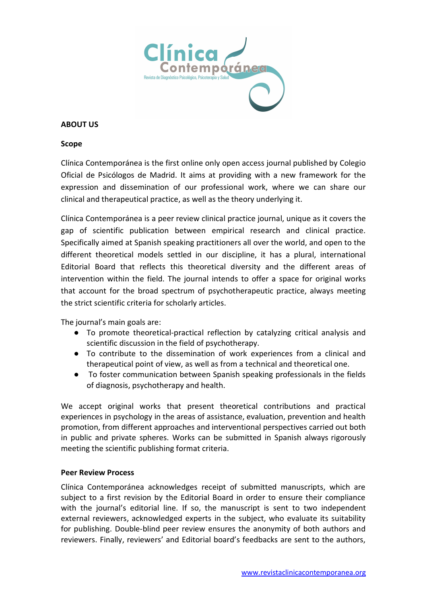

## **ABOUT US**

## **Scope**

Clínica Contemporánea is the first online only open access journal published by Colegio Oficial de Psicólogos de Madrid. It aims at providing with a new framework for the expression and dissemination of our professional work, where we can share our clinical and therapeutical practice, as well as the theory underlying it.

Clínica Contemporánea is a peer review clinical practice journal, unique as it covers the gap of scientific publication between empirical research and clinical practice. Specifically aimed at Spanish speaking practitioners all over the world, and open to the different theoretical models settled in our discipline, it has a plural, international Editorial Board that reflects this theoretical diversity and the different areas of intervention within the field. The journal intends to offer a space for original works that account for the broad spectrum of psychotherapeutic practice, always meeting the strict scientific criteria for scholarly articles.

The journal's main goals are:

- To promote theoretical-practical reflection by catalyzing critical analysis and scientific discussion in the field of psychotherapy.
- To contribute to the dissemination of work experiences from a clinical and therapeutical point of view, as well as from a technical and theoretical one.
- To foster communication between Spanish speaking professionals in the fields of diagnosis, psychotherapy and health.

We accept original works that present theoretical contributions and practical experiences in psychology in the areas of assistance, evaluation, prevention and health promotion, from different approaches and interventional perspectives carried out both in public and private spheres. Works can be submitted in Spanish always rigorously meeting the scientific publishing format criteria.

## **Peer Review Process**

Clínica Contemporánea acknowledges receipt of submitted manuscripts, which are subject to a first revision by the Editorial Board in order to ensure their compliance with the journal's editorial line. If so, the manuscript is sent to two independent external reviewers, acknowledged experts in the subject, who evaluate its suitability for publishing. Double-blind peer review ensures the anonymity of both authors and reviewers. Finally, reviewers' and Editorial board's feedbacks are sent to the authors,